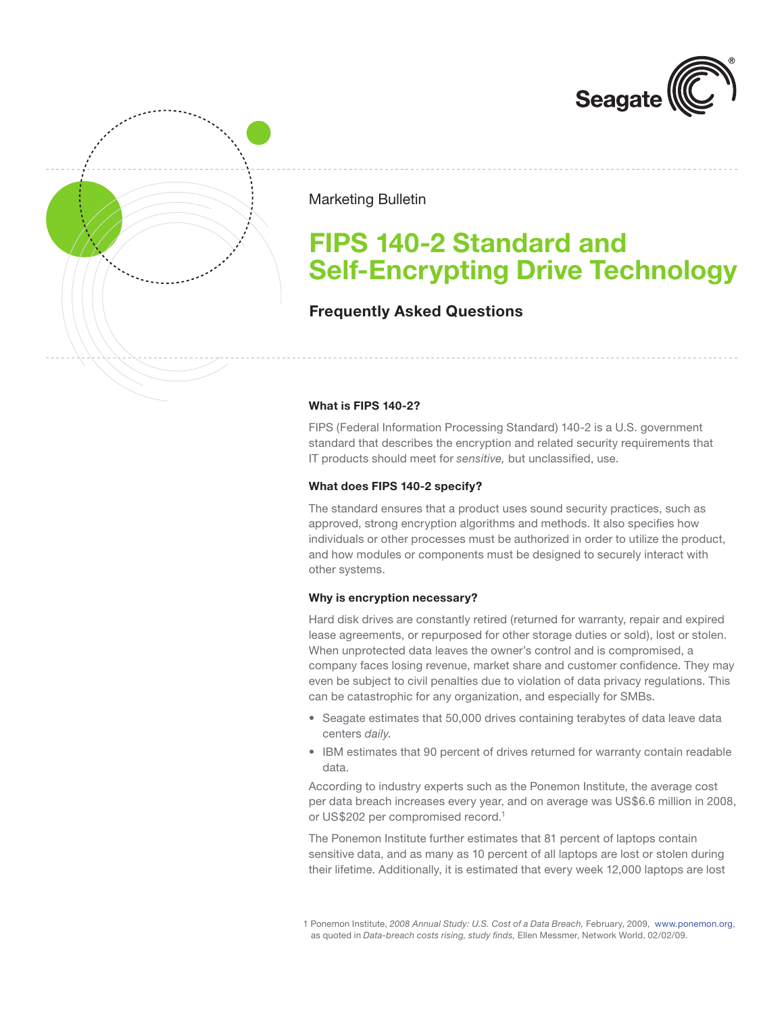



Marketing Bulletin

# **FIPS 140-2 Standard and Self-Encrypting Drive Technology**

# **Frequently Asked Questions**

## **What is FIPS 140-2?**

FIPS (Federal Information Processing Standard) 140-2 is a U.S. government standard that describes the encryption and related security requirements that IT products should meet for *sensitive,* but unclassified, use.

## **What does FIPS 140-2 specify?**

The standard ensures that a product uses sound security practices, such as approved, strong encryption algorithms and methods. It also specifies how individuals or other processes must be authorized in order to utilize the product, and how modules or components must be designed to securely interact with other systems.

## **Why is encryption necessary?**

Hard disk drives are constantly retired (returned for warranty, repair and expired lease agreements, or repurposed for other storage duties or sold), lost or stolen. When unprotected data leaves the owner's control and is compromised, a company faces losing revenue, market share and customer confidence. They may even be subject to civil penalties due to violation of data privacy regulations. This can be catastrophic for any organization, and especially for SMBs.

- Seagate estimates that 50,000 drives containing terabytes of data leave data centers *daily.*
- IBM estimates that 90 percent of drives returned for warranty contain readable data.

According to industry experts such as the Ponemon Institute, the average cost per data breach increases every year, and on average was US\$6.6 million in 2008, or US\$202 per compromised record.<sup>1</sup>

The Ponemon Institute further estimates that 81 percent of laptops contain sensitive data, and as many as 10 percent of all laptops are lost or stolen during their lifetime. Additionally, it is estimated that every week 12,000 laptops are lost

<sup>1</sup> Ponemon Institute, *2008 Annual Study: U.S. Cost of a Data Breach,* February, 2009, <www.ponemon.org>, as quoted in *Data-breach costs rising, study finds,* Ellen Messmer, Network World, 02/02/09.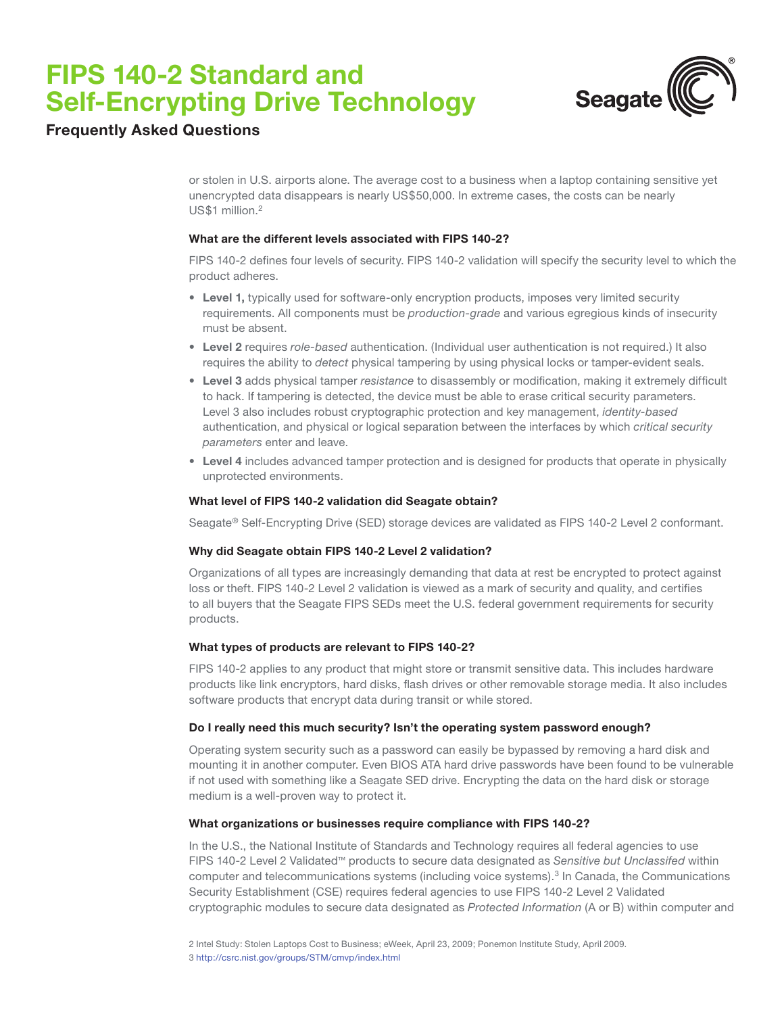# **FIPS 140-2 Standard and Self-Encrypting Drive Technology**



# **Frequently Asked Questions**

or stolen in U.S. airports alone. The average cost to a business when a laptop containing sensitive yet unencrypted data disappears is nearly US\$50,000. In extreme cases, the costs can be nearly US\$1 million.<sup>2</sup>

### **What are the different levels associated with FIPS 140-2?**

FIPS 140-2 defines four levels of security. FIPS 140-2 validation will specify the security level to which the product adheres.

- • **Level 1,** typically used for software-only encryption products, imposes very limited security requirements. All components must be *production-grade* and various egregious kinds of insecurity must be absent.
- • **Level 2** requires *role-based* authentication. (Individual user authentication is not required.) It also requires the ability to *detect* physical tampering by using physical locks or tamper-evident seals.
- • **Level 3** adds physical tamper *resistance* to disassembly or modification, making it extremely difficult to hack. If tampering is detected, the device must be able to erase critical security parameters. Level 3 also includes robust cryptographic protection and key management, *identity-based* authentication, and physical or logical separation between the interfaces by which *critical security parameters* enter and leave.
- • **Level 4** includes advanced tamper protection and is designed for products that operate in physically unprotected environments.

# **What level of FIPS 140-2 validation did Seagate obtain?**

Seagate® Self-Encrypting Drive (SED) storage devices are validated as FIPS 140-2 Level 2 conformant.

### **Why did Seagate obtain FIPS 140-2 Level 2 validation?**

Organizations of all types are increasingly demanding that data at rest be encrypted to protect against loss or theft. FIPS 140-2 Level 2 validation is viewed as a mark of security and quality, and certifies to all buyers that the Seagate FIPS SEDs meet the U.S. federal government requirements for security products.

### **What types of products are relevant to FIPS 140-2?**

FIPS 140-2 applies to any product that might store or transmit sensitive data. This includes hardware products like link encryptors, hard disks, flash drives or other removable storage media. It also includes software products that encrypt data during transit or while stored.

### **Do I really need this much security? Isn't the operating system password enough?**

Operating system security such as a password can easily be bypassed by removing a hard disk and mounting it in another computer. Even BIOS ATA hard drive passwords have been found to be vulnerable if not used with something like a Seagate SED drive. Encrypting the data on the hard disk or storage medium is a well-proven way to protect it.

### **What organizations or businesses require compliance with FIPS 140-2?**

In the U.S., the National Institute of Standards and Technology requires all federal agencies to use FIPS 140-2 Level 2 Validated™ products to secure data designated as *Sensitive but Unclassifed* within computer and telecommunications systems (including voice systems).<sup>3</sup> In Canada, the Communications Security Establishment (CSE) requires federal agencies to use FIPS 140-2 Level 2 Validated cryptographic modules to secure data designated as *Protected Information* (A or B) within computer and